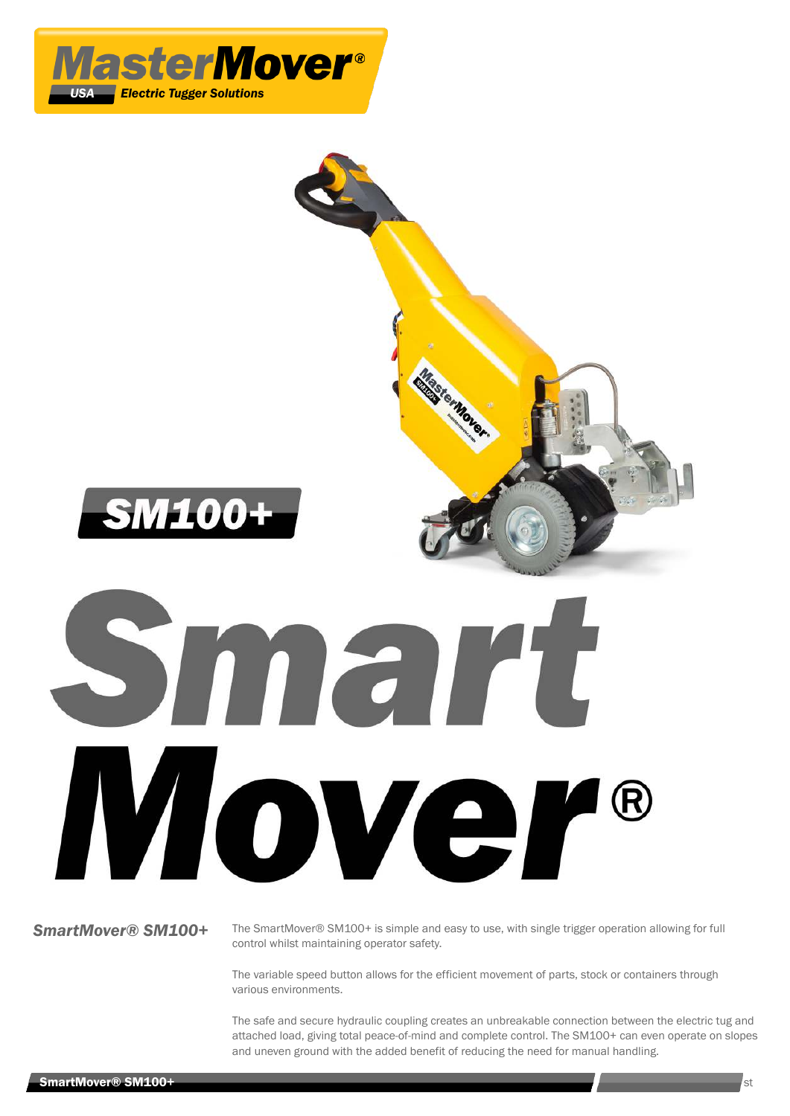



*SmartMover® SM100+* The SmartMover® SM100+ is simple and easy to use, with single trigger operation allowing for full control whilst maintaining operator safety.

> The variable speed button allows for the efficient movement of parts, stock or containers through various environments.

The safe and secure hydraulic coupling creates an unbreakable connection between the electric tug and attached load, giving total peace-of-mind and complete control. The SM100+ can even operate on slopes and uneven ground with the added benefit of reducing the need for manual handling.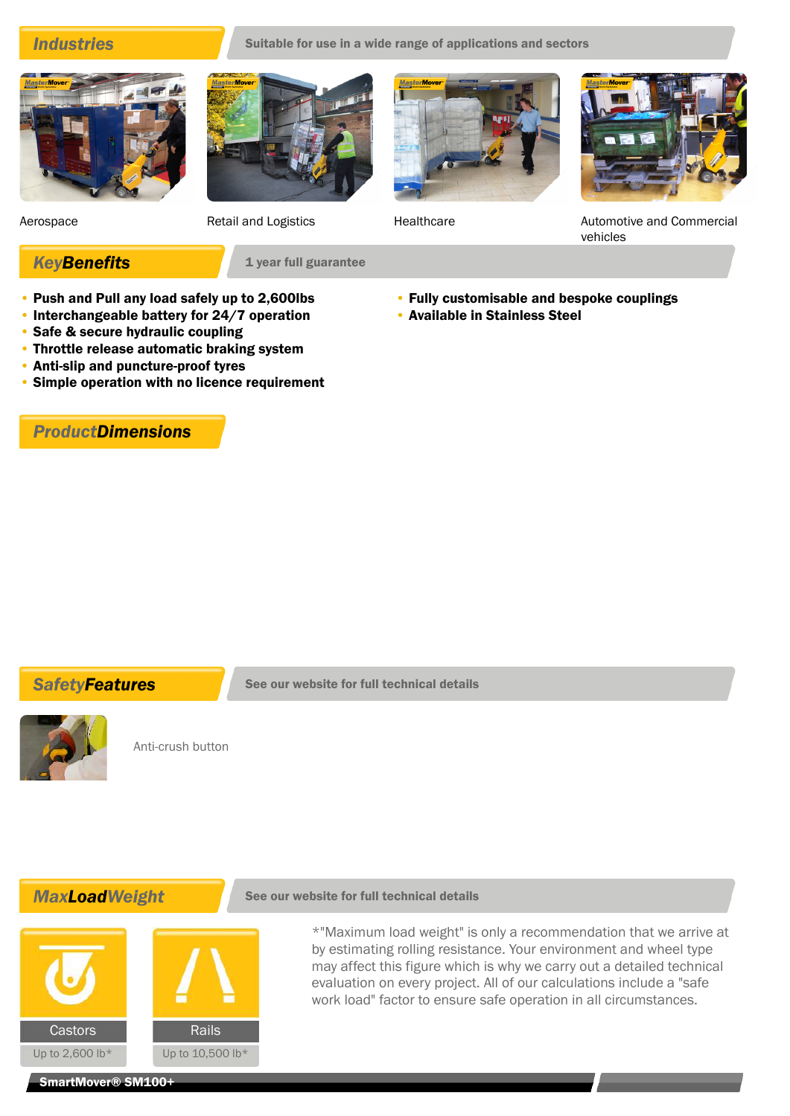**Industries** Suitable for use in a wide range of applications and sectors







Aerospace **Retail and Logistics Retail and Logistics Retail and Logistics Healthcare Automotive and Commercial** vehicles

## • Fully customisable and bespoke couplings

- Available in [Stainless Steel](/usa/product-groups/stainless-steel/sm100-ss-electric-power-tugger)
- Push and Pull any load safely up to 2,600lbs
- Interchangeable battery for 24/7 operation

**KeyBenefits** 1 year full guarantee

- Safe & secure hydraulic coupling
- Throttle release automatic braking system
- Anti-slip and puncture-proof tyres
- Simple operation with no licence requirement

*ProductDimensions*





Anti-crush button

## **MaxLoadWeight** See our website for full technical details



\*"Maximum load weight" is only a recommendation that we arrive at by estimating rolling resistance. Your environment and wheel type may affect this figure which is why we carry out a detailed technical evaluation on every project. All of our calculations include a "safe work load" factor to ensure safe operation in all circumstances.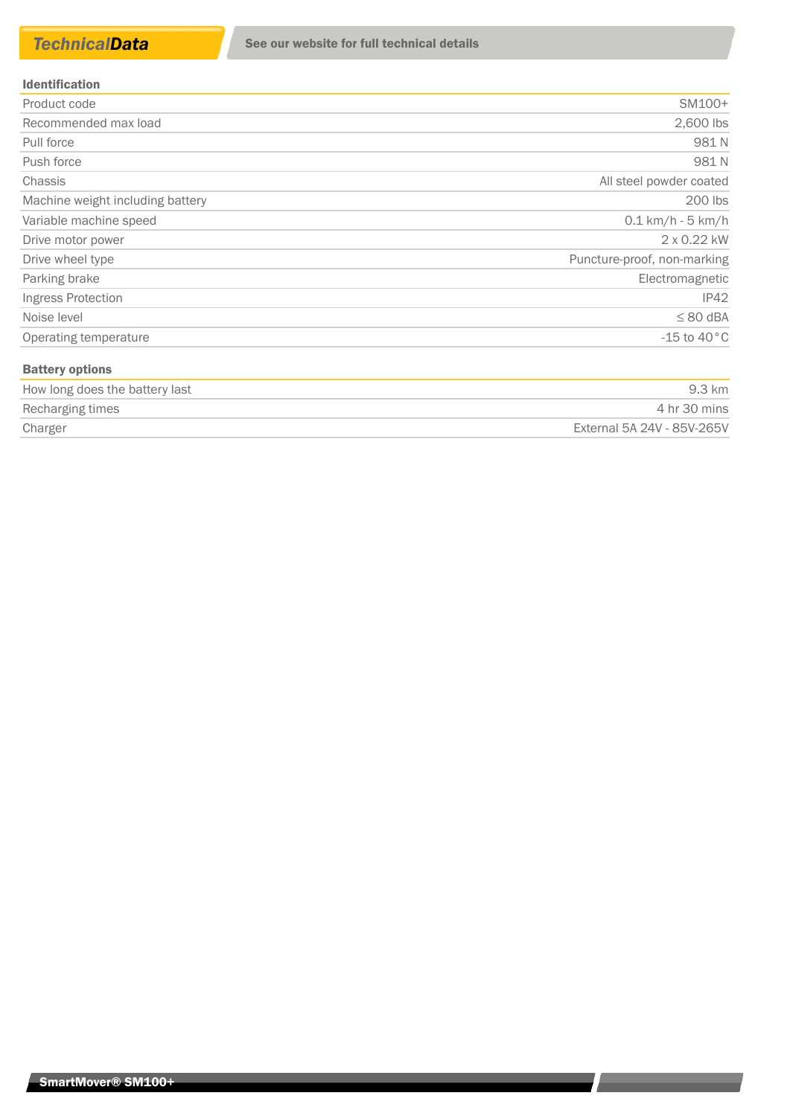### Identification

| Product code                     | SM100+                      |
|----------------------------------|-----------------------------|
| Recommended max load             | 2,600 lbs                   |
| Pull force                       | 981N                        |
| Push force                       | 981N                        |
| <b>Chassis</b>                   | All steel powder coated     |
| Machine weight including battery | 200 lbs                     |
| Variable machine speed           | $0.1 \text{ km/h}$ - 5 km/h |
| Drive motor power                | 2 x 0.22 kW                 |
| Drive wheel type                 | Puncture-proof, non-marking |
| Parking brake                    | Electromagnetic             |
| Ingress Protection               | IP42                        |
| Noise level                      | $\leq 80$ dBA               |
| Operating temperature            | $-15$ to $40^{\circ}$ C     |
| <b>Battery options</b>           |                             |

| How long does the battery last | 9.3 km                     |
|--------------------------------|----------------------------|
| Recharging times               | 4 hr 30 mins               |
| Charger                        | External 5A 24V - 85V-265V |

<u> London a componente de la provincia de la provincia de la provincia de la provincia de la provincia de la provi</u>